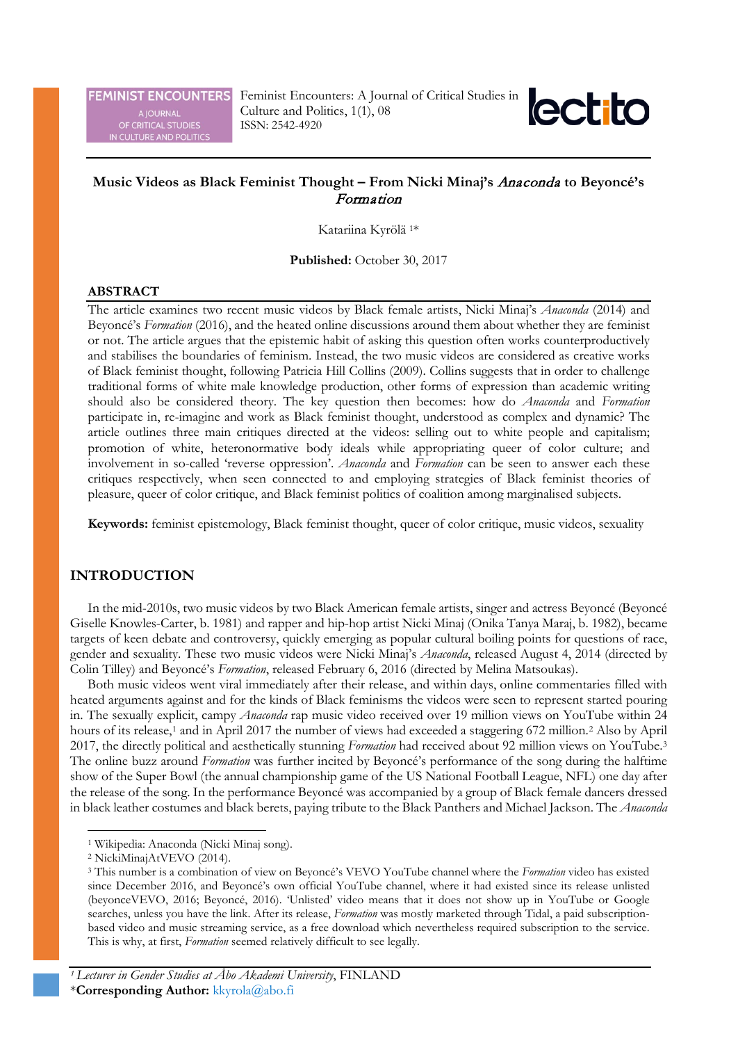**FEMINIST ENCOUNTERS** 

A JOURNAL<br>OF CRITICAL STUDIES<br>N CULTURE AND POLITICS

Feminist Encounters: A Journal of Critical Studies in Culture and Politics, 1(1), 08 ISSN: 2542-4920



### **Music Videos as Black Feminist Thought – From Nicki Minaj's** Anaconda **to Beyoncé's**  Formation

Katariina Kyrölä 1\*

**Published:** October 30, 2017

### **ABSTRACT**

The article examines two recent music videos by Black female artists, Nicki Minaj's *Anaconda* (2014) and Beyoncé's *Formation* (2016), and the heated online discussions around them about whether they are feminist or not. The article argues that the epistemic habit of asking this question often works counterproductively and stabilises the boundaries of feminism. Instead, the two music videos are considered as creative works of Black feminist thought, following Patricia Hill Collins (2009). Collins suggests that in order to challenge traditional forms of white male knowledge production, other forms of expression than academic writing should also be considered theory. The key question then becomes: how do *Anaconda* and *Formation* participate in, re-imagine and work as Black feminist thought, understood as complex and dynamic? The article outlines three main critiques directed at the videos: selling out to white people and capitalism; promotion of white, heteronormative body ideals while appropriating queer of color culture; and involvement in so-called 'reverse oppression'. *Anaconda* and *Formation* can be seen to answer each these critiques respectively, when seen connected to and employing strategies of Black feminist theories of pleasure, queer of color critique, and Black feminist politics of coalition among marginalised subjects.

**Keywords:** feminist epistemology, Black feminist thought, queer of color critique, music videos, sexuality

#### **INTRODUCTION**

In the mid-2010s, two music videos by two Black American female artists, singer and actress Beyoncé (Beyoncé Giselle Knowles-Carter, b. 1981) and rapper and hip-hop artist Nicki Minaj (Onika Tanya Maraj, b. 1982), became targets of keen debate and controversy, quickly emerging as popular cultural boiling points for questions of race, gender and sexuality. These two music videos were Nicki Minaj's *Anaconda*, released August 4, 2014 (directed by Colin Tilley) and Beyoncé's *Formation*, released February 6, 2016 (directed by Melina Matsoukas).

Both music videos went viral immediately after their release, and within days, online commentaries filled with heated arguments against and for the kinds of Black feminisms the videos were seen to represent started pouring in. The sexually explicit, campy *Anaconda* rap music video received over 19 million views on YouTube within 24 hours of its release,<sup>[1](#page-0-0)</sup> and in April [2](#page-0-1)017 the number of views had exceeded a staggering 672 million.<sup>2</sup> Also by April 2017, the directly political and aesthetically stunning *Formation* had received about 92 million views on YouTube[.3](#page-0-2) The online buzz around *Formation* was further incited by Beyoncé's performance of the song during the halftime show of the Super Bowl (the annual championship game of the US National Football League, NFL) one day after the release of the song. In the performance Beyoncé was accompanied by a group of Black female dancers dressed in black leather costumes and black berets, paying tribute to the Black Panthers and Michael Jackson. The *Anaconda*

<span id="page-0-0"></span> <sup>1</sup> Wikipedia: Anaconda (Nicki Minaj song).

<span id="page-0-1"></span><sup>2</sup> NickiMinajAtVEVO (2014).

<span id="page-0-2"></span><sup>3</sup> This number is a combination of view on Beyoncé's VEVO YouTube channel where the *Formation* video has existed since December 2016, and Beyoncé's own official YouTube channel, where it had existed since its release unlisted (beyonceVEVO, 2016; Beyoncé, 2016). 'Unlisted' video means that it does not show up in YouTube or Google searches, unless you have the link. After its release, *Formation* was mostly marketed through Tidal, a paid subscriptionbased video and music streaming service, as a free download which nevertheless required subscription to the service. This is why, at first, *Formation* seemed relatively difficult to see legally.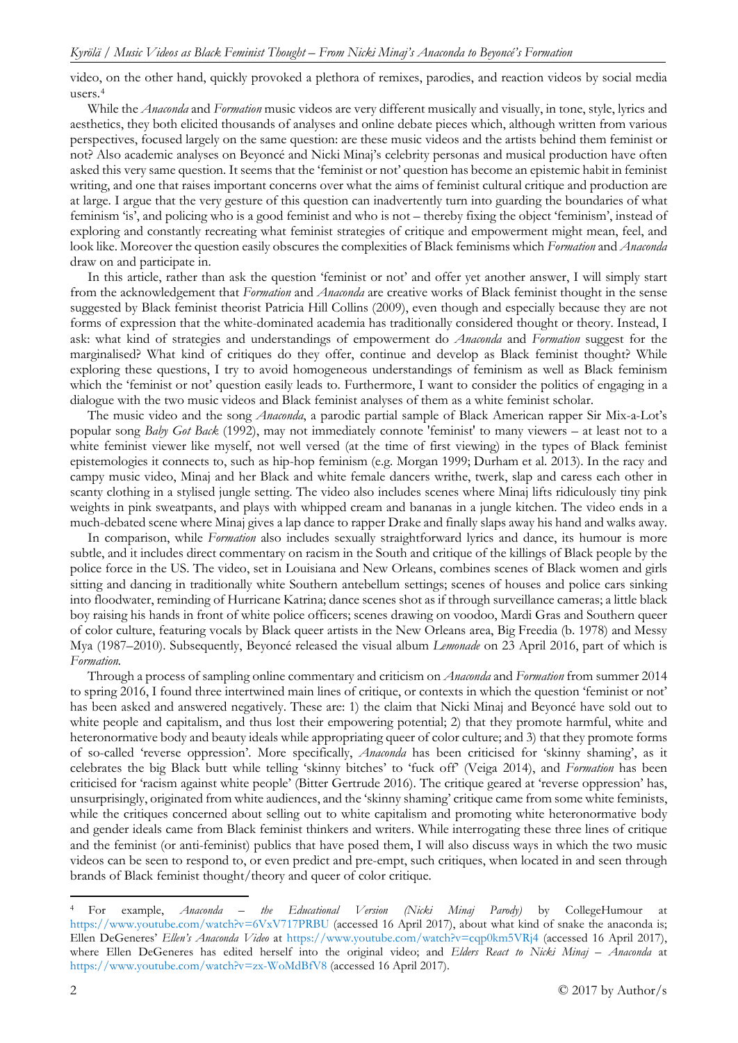video, on the other hand, quickly provoked a plethora of remixes, parodies, and reaction videos by social media users.[4](#page-1-0)

While the *Anaconda* and *Formation* music videos are very different musically and visually, in tone, style, lyrics and aesthetics, they both elicited thousands of analyses and online debate pieces which, although written from various perspectives, focused largely on the same question: are these music videos and the artists behind them feminist or not? Also academic analyses on Beyoncé and Nicki Minaj's celebrity personas and musical production have often asked this very same question. It seems that the 'feminist or not' question has become an epistemic habit in feminist writing, and one that raises important concerns over what the aims of feminist cultural critique and production are at large. I argue that the very gesture of this question can inadvertently turn into guarding the boundaries of what feminism 'is', and policing who is a good feminist and who is not – thereby fixing the object 'feminism', instead of exploring and constantly recreating what feminist strategies of critique and empowerment might mean, feel, and look like. Moreover the question easily obscures the complexities of Black feminisms which *Formation* and *Anaconda* draw on and participate in.

In this article, rather than ask the question 'feminist or not' and offer yet another answer, I will simply start from the acknowledgement that *Formation* and *Anaconda* are creative works of Black feminist thought in the sense suggested by Black feminist theorist Patricia Hill Collins (2009), even though and especially because they are not forms of expression that the white-dominated academia has traditionally considered thought or theory. Instead, I ask: what kind of strategies and understandings of empowerment do *Anaconda* and *Formation* suggest for the marginalised? What kind of critiques do they offer, continue and develop as Black feminist thought? While exploring these questions, I try to avoid homogeneous understandings of feminism as well as Black feminism which the 'feminist or not' question easily leads to. Furthermore, I want to consider the politics of engaging in a dialogue with the two music videos and Black feminist analyses of them as a white feminist scholar.

The music video and the song *Anaconda*, a parodic partial sample of Black American rapper Sir Mix-a-Lot's popular song *Baby Got Back* (1992), may not immediately connote 'feminist' to many viewers – at least not to a white feminist viewer like myself, not well versed (at the time of first viewing) in the types of Black feminist epistemologies it connects to, such as hip-hop feminism (e.g. Morgan 1999; Durham et al. 2013). In the racy and campy music video, Minaj and her Black and white female dancers writhe, twerk, slap and caress each other in scanty clothing in a stylised jungle setting. The video also includes scenes where Minaj lifts ridiculously tiny pink weights in pink sweatpants, and plays with whipped cream and bananas in a jungle kitchen. The video ends in a much-debated scene where Minaj gives a lap dance to rapper Drake and finally slaps away his hand and walks away.

In comparison, while *Formation* also includes sexually straightforward lyrics and dance, its humour is more subtle, and it includes direct commentary on racism in the South and critique of the killings of Black people by the police force in the US. The video, set in Louisiana and New Orleans, combines scenes of Black women and girls sitting and dancing in traditionally white Southern antebellum settings; scenes of houses and police cars sinking into floodwater, reminding of Hurricane Katrina; dance scenes shot as if through surveillance cameras; a little black boy raising his hands in front of white police officers; scenes drawing on voodoo, Mardi Gras and Southern queer of color culture, featuring vocals by Black queer artists in the New Orleans area, Big Freedia (b. 1978) and Messy Mya (1987–2010). Subsequently, Beyoncé released the visual album *Lemonade* on 23 April 2016, part of which is *Formation.*

Through a process of sampling online commentary and criticism on *Anaconda* and *Formation* from summer 2014 to spring 2016, I found three intertwined main lines of critique, or contexts in which the question 'feminist or not' has been asked and answered negatively. These are: 1) the claim that Nicki Minaj and Beyoncé have sold out to white people and capitalism, and thus lost their empowering potential; 2) that they promote harmful, white and heteronormative body and beauty ideals while appropriating queer of color culture; and 3) that they promote forms of so-called 'reverse oppression'. More specifically, *Anaconda* has been criticised for 'skinny shaming', as it celebrates the big Black butt while telling 'skinny bitches' to 'fuck off' (Veiga 2014), and *Formation* has been criticised for 'racism against white people' (Bitter Gertrude 2016). The critique geared at 'reverse oppression' has, unsurprisingly, originated from white audiences, and the 'skinny shaming' critique came from some white feminists, while the critiques concerned about selling out to white capitalism and promoting white heteronormative body and gender ideals came from Black feminist thinkers and writers. While interrogating these three lines of critique and the feminist (or anti-feminist) publics that have posed them, I will also discuss ways in which the two music videos can be seen to respond to, or even predict and pre-empt, such critiques, when located in and seen through brands of Black feminist thought/theory and queer of color critique.

<span id="page-1-0"></span> <sup>4</sup> For example, *Anaconda – the Educational Version (Nicki Minaj Parody)* by CollegeHumour at <https://www.youtube.com/watch?v=6VxV717PRBU> (accessed 16 April 2017), about what kind of snake the anaconda is; Ellen DeGeneres' *Ellen's Anaconda Video* at<https://www.youtube.com/watch?v=cqp0km5VRj4> (accessed 16 April 2017), where Ellen DeGeneres has edited herself into the original video; and *Elders React to Nicki Minaj – Anaconda* at <https://www.youtube.com/watch?v=zx-WoMdBfV8> (accessed 16 April 2017).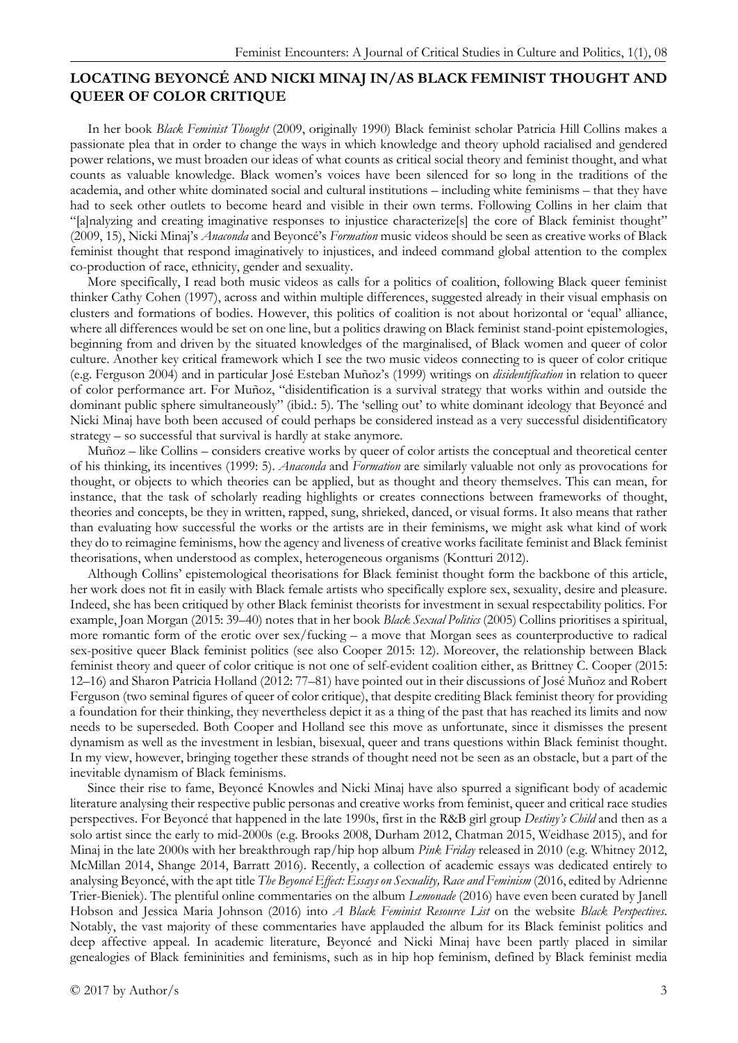# **LOCATING BEYONCÉ AND NICKI MINAJ IN/AS BLACK FEMINIST THOUGHT AND QUEER OF COLOR CRITIQUE**

In her book *Black Feminist Thought* (2009, originally 1990) Black feminist scholar Patricia Hill Collins makes a passionate plea that in order to change the ways in which knowledge and theory uphold racialised and gendered power relations, we must broaden our ideas of what counts as critical social theory and feminist thought, and what counts as valuable knowledge. Black women's voices have been silenced for so long in the traditions of the academia, and other white dominated social and cultural institutions – including white feminisms – that they have had to seek other outlets to become heard and visible in their own terms. Following Collins in her claim that "[a]nalyzing and creating imaginative responses to injustice characterize[s] the core of Black feminist thought" (2009, 15), Nicki Minaj's *Anaconda* and Beyoncé's *Formation* music videos should be seen as creative works of Black feminist thought that respond imaginatively to injustices, and indeed command global attention to the complex co-production of race, ethnicity, gender and sexuality.

More specifically, I read both music videos as calls for a politics of coalition, following Black queer feminist thinker Cathy Cohen (1997), across and within multiple differences, suggested already in their visual emphasis on clusters and formations of bodies. However, this politics of coalition is not about horizontal or 'equal' alliance, where all differences would be set on one line, but a politics drawing on Black feminist stand-point epistemologies, beginning from and driven by the situated knowledges of the marginalised, of Black women and queer of color culture. Another key critical framework which I see the two music videos connecting to is queer of color critique (e.g. Ferguson 2004) and in particular José Esteban Muñoz's (1999) writings on *disidentification* in relation to queer of color performance art. For Muñoz, "disidentification is a survival strategy that works within and outside the dominant public sphere simultaneously" (ibid.: 5). The 'selling out' to white dominant ideology that Beyoncé and Nicki Minaj have both been accused of could perhaps be considered instead as a very successful disidentificatory strategy – so successful that survival is hardly at stake anymore.

Muñoz – like Collins – considers creative works by queer of color artists the conceptual and theoretical center of his thinking, its incentives (1999: 5). *Anaconda* and *Formation* are similarly valuable not only as provocations for thought, or objects to which theories can be applied, but as thought and theory themselves. This can mean, for instance, that the task of scholarly reading highlights or creates connections between frameworks of thought, theories and concepts, be they in written, rapped, sung, shrieked, danced, or visual forms. It also means that rather than evaluating how successful the works or the artists are in their feminisms, we might ask what kind of work they do to reimagine feminisms, how the agency and liveness of creative works facilitate feminist and Black feminist theorisations, when understood as complex, heterogeneous organisms (Kontturi 2012).

Although Collins' epistemological theorisations for Black feminist thought form the backbone of this article, her work does not fit in easily with Black female artists who specifically explore sex, sexuality, desire and pleasure. Indeed, she has been critiqued by other Black feminist theorists for investment in sexual respectability politics. For example, Joan Morgan (2015: 39–40) notes that in her book *Black Sexual Politics* (2005) Collins prioritises a spiritual, more romantic form of the erotic over sex/fucking – a move that Morgan sees as counterproductive to radical sex-positive queer Black feminist politics (see also Cooper 2015: 12). Moreover, the relationship between Black feminist theory and queer of color critique is not one of self-evident coalition either, as Brittney C. Cooper (2015: 12–16) and Sharon Patricia Holland (2012: 77–81) have pointed out in their discussions of José Muñoz and Robert Ferguson (two seminal figures of queer of color critique), that despite crediting Black feminist theory for providing a foundation for their thinking, they nevertheless depict it as a thing of the past that has reached its limits and now needs to be superseded. Both Cooper and Holland see this move as unfortunate, since it dismisses the present dynamism as well as the investment in lesbian, bisexual, queer and trans questions within Black feminist thought. In my view, however, bringing together these strands of thought need not be seen as an obstacle, but a part of the inevitable dynamism of Black feminisms.

Since their rise to fame, Beyoncé Knowles and Nicki Minaj have also spurred a significant body of academic literature analysing their respective public personas and creative works from feminist, queer and critical race studies perspectives. For Beyoncé that happened in the late 1990s, first in the R&B girl group *Destiny's Child* and then as a solo artist since the early to mid-2000s (e.g. Brooks 2008, Durham 2012, Chatman 2015, Weidhase 2015), and for Minaj in the late 2000s with her breakthrough rap/hip hop album *Pink Friday* released in 2010 (e.g. Whitney 2012, McMillan 2014, Shange 2014, Barratt 2016). Recently, a collection of academic essays was dedicated entirely to analysing Beyoncé, with the apt title *The Beyoncé Effect: Essays on Sexuality, Race and Feminism* (2016, edited by Adrienne Trier-Bieniek). The plentiful online commentaries on the album *Lemonade* (2016) have even been curated by Janell Hobson and Jessica Maria Johnson (2016) into *A Black Feminist Resource List* on the website *Black Perspectives*. Notably, the vast majority of these commentaries have applauded the album for its Black feminist politics and deep affective appeal. In academic literature, Beyoncé and Nicki Minaj have been partly placed in similar genealogies of Black femininities and feminisms, such as in hip hop feminism, defined by Black feminist media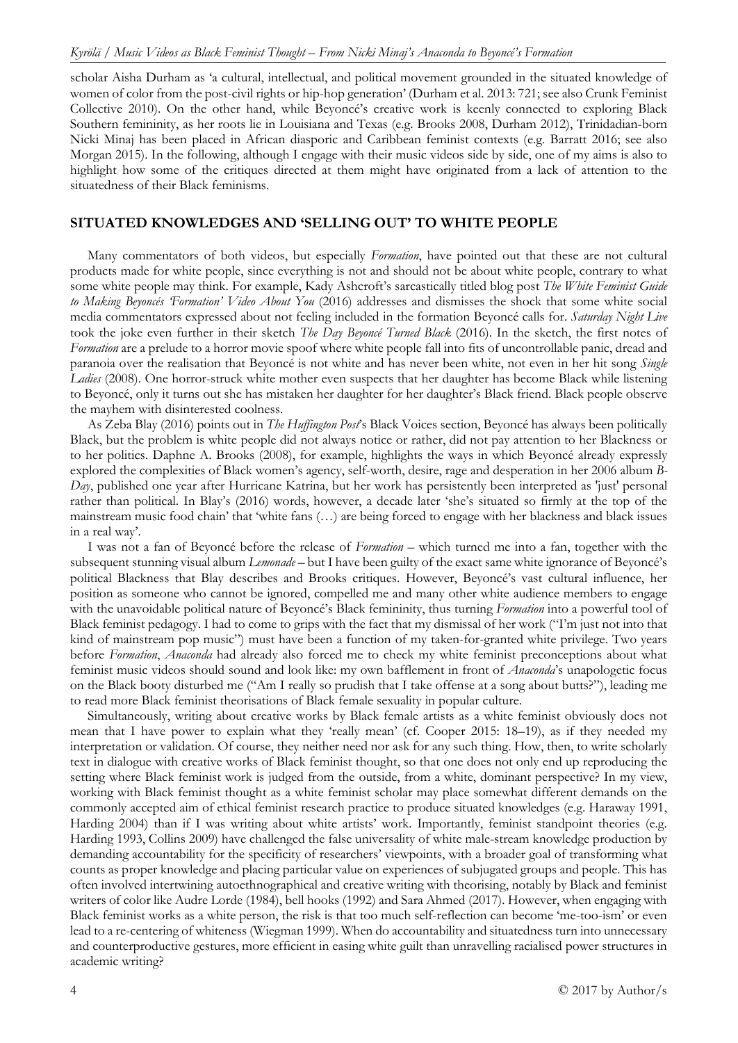scholar Aisha Durham as 'a cultural, intellectual, and political movement grounded in the situated knowledge of women of color from the post-civil rights or hip-hop generation' (Durham et al. 2013: 721; see also Crunk Feminist Collective 2010). On the other hand, while Beyoncé's creative work is keenly connected to exploring Black Southern femininity, as her roots lie in Louisiana and Texas (e.g. Brooks 2008, Durham 2012), Trinidadian-born Nicki Minaj has been placed in African diasporic and Caribbean feminist contexts (e.g. Barratt 2016; see also Morgan 2015). In the following, although I engage with their music videos side by side, one of my aims is also to highlight how some of the critiques directed at them might have originated from a lack of attention to the situatedness of their Black feminisms.

### **SITUATED KNOWLEDGES AND 'SELLING OUT' TO WHITE PEOPLE**

Many commentators of both videos, but especially *Formation*, have pointed out that these are not cultural products made for white people, since everything is not and should not be about white people, contrary to what some white people may think. For example, Kady Ashcroft's sarcastically titled blog post *The White Feminist Guide to Making Beyoncés 'Formation' Video About You* (2016) addresses and dismisses the shock that some white social media commentators expressed about not feeling included in the formation Beyoncé calls for. *Saturday Night Live* took the joke even further in their sketch *The Day Beyoncé Turned Black* (2016). In the sketch, the first notes of *Formation* are a prelude to a horror movie spoof where white people fall into fits of uncontrollable panic, dread and paranoia over the realisation that Beyoncé is not white and has never been white, not even in her hit song *Single Ladies* (2008). One horror-struck white mother even suspects that her daughter has become Black while listening to Beyoncé, only it turns out she has mistaken her daughter for her daughter's Black friend. Black people observe the mayhem with disinterested coolness.

As Zeba Blay (2016) points out in *The Huffington Post*'s Black Voices section, Beyoncé has always been politically Black, but the problem is white people did not always notice or rather, did not pay attention to her Blackness or to her politics. Daphne A. Brooks (2008), for example, highlights the ways in which Beyoncé already expressly explored the complexities of Black women's agency, self-worth, desire, rage and desperation in her 2006 album *B-Day*, published one year after Hurricane Katrina, but her work has persistently been interpreted as 'just' personal rather than political. In Blay's (2016) words, however, a decade later 'she's situated so firmly at the top of the mainstream music food chain' that 'white fans (…) are being forced to engage with her blackness and black issues in a real way'.

I was not a fan of Beyoncé before the release of *Formation* – which turned me into a fan, together with the subsequent stunning visual album *Lemonade* – but I have been guilty of the exact same white ignorance of Beyoncé's political Blackness that Blay describes and Brooks critiques. However, Beyoncé's vast cultural influence, her position as someone who cannot be ignored, compelled me and many other white audience members to engage with the unavoidable political nature of Beyoncé's Black femininity, thus turning *Formation* into a powerful tool of Black feminist pedagogy. I had to come to grips with the fact that my dismissal of her work ("I'm just not into that kind of mainstream pop music") must have been a function of my taken-for-granted white privilege. Two years before *Formation*, *Anaconda* had already also forced me to check my white feminist preconceptions about what feminist music videos should sound and look like: my own bafflement in front of *Anaconda*'s unapologetic focus on the Black booty disturbed me ("Am I really so prudish that I take offense at a song about butts?"), leading me to read more Black feminist theorisations of Black female sexuality in popular culture.

Simultaneously, writing about creative works by Black female artists as a white feminist obviously does not mean that I have power to explain what they 'really mean' (cf. Cooper 2015: 18–19), as if they needed my interpretation or validation. Of course, they neither need nor ask for any such thing. How, then, to write scholarly text in dialogue with creative works of Black feminist thought, so that one does not only end up reproducing the setting where Black feminist work is judged from the outside, from a white, dominant perspective? In my view, working with Black feminist thought as a white feminist scholar may place somewhat different demands on the commonly accepted aim of ethical feminist research practice to produce situated knowledges (e.g. Haraway 1991, Harding 2004) than if I was writing about white artists' work. Importantly, feminist standpoint theories (e.g. Harding 1993, Collins 2009) have challenged the false universality of white male-stream knowledge production by demanding accountability for the specificity of researchers' viewpoints, with a broader goal of transforming what counts as proper knowledge and placing particular value on experiences of subjugated groups and people. This has often involved intertwining autoethnographical and creative writing with theorising, notably by Black and feminist writers of color like Audre Lorde (1984), bell hooks (1992) and Sara Ahmed (2017). However, when engaging with Black feminist works as a white person, the risk is that too much self-reflection can become 'me-too-ism' or even lead to a re-centering of whiteness (Wiegman 1999). When do accountability and situatedness turn into unnecessary and counterproductive gestures, more efficient in easing white guilt than unravelling racialised power structures in academic writing?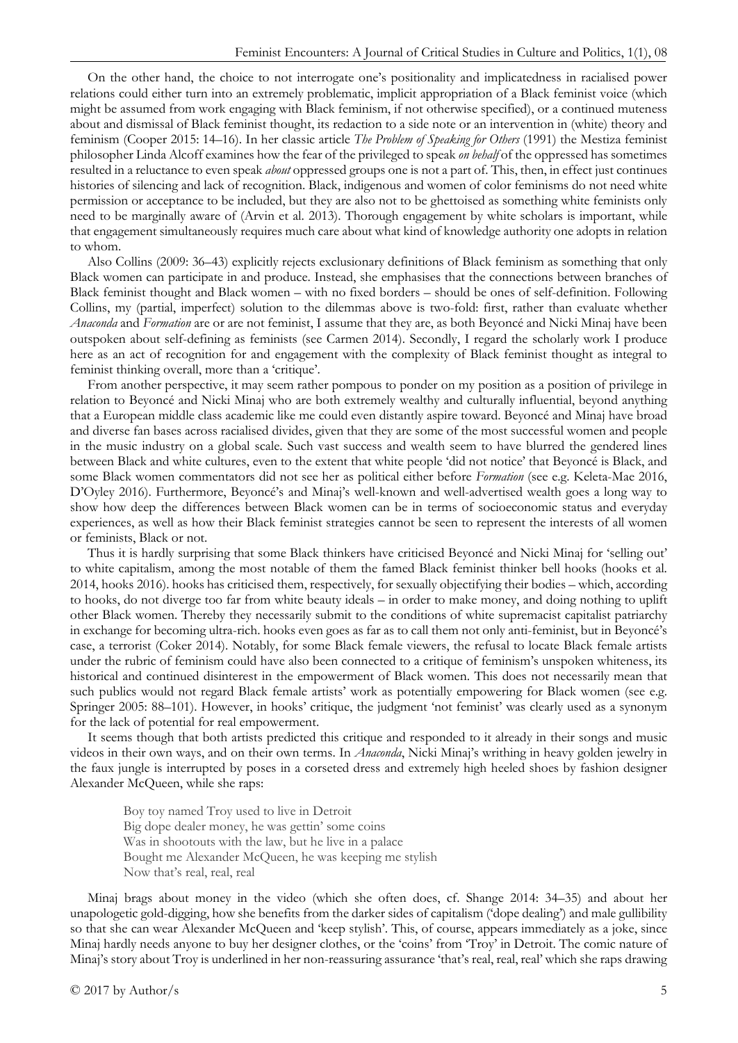On the other hand, the choice to not interrogate one's positionality and implicatedness in racialised power relations could either turn into an extremely problematic, implicit appropriation of a Black feminist voice (which might be assumed from work engaging with Black feminism, if not otherwise specified), or a continued muteness about and dismissal of Black feminist thought, its redaction to a side note or an intervention in (white) theory and feminism (Cooper 2015: 14–16). In her classic article *The Problem of Speaking for Others* (1991) the Mestiza feminist philosopher Linda Alcoff examines how the fear of the privileged to speak *on behalf* of the oppressed has sometimes resulted in a reluctance to even speak *about* oppressed groups one is not a part of. This, then, in effect just continues histories of silencing and lack of recognition. Black, indigenous and women of color feminisms do not need white permission or acceptance to be included, but they are also not to be ghettoised as something white feminists only need to be marginally aware of (Arvin et al. 2013). Thorough engagement by white scholars is important, while that engagement simultaneously requires much care about what kind of knowledge authority one adopts in relation to whom.

Also Collins (2009: 36–43) explicitly rejects exclusionary definitions of Black feminism as something that only Black women can participate in and produce. Instead, she emphasises that the connections between branches of Black feminist thought and Black women – with no fixed borders – should be ones of self-definition. Following Collins, my (partial, imperfect) solution to the dilemmas above is two-fold: first, rather than evaluate whether *Anaconda* and *Formation* are or are not feminist, I assume that they are, as both Beyoncé and Nicki Minaj have been outspoken about self-defining as feminists (see Carmen 2014). Secondly, I regard the scholarly work I produce here as an act of recognition for and engagement with the complexity of Black feminist thought as integral to feminist thinking overall, more than a 'critique'.

From another perspective, it may seem rather pompous to ponder on my position as a position of privilege in relation to Beyoncé and Nicki Minaj who are both extremely wealthy and culturally influential, beyond anything that a European middle class academic like me could even distantly aspire toward. Beyoncé and Minaj have broad and diverse fan bases across racialised divides, given that they are some of the most successful women and people in the music industry on a global scale. Such vast success and wealth seem to have blurred the gendered lines between Black and white cultures, even to the extent that white people 'did not notice' that Beyoncé is Black, and some Black women commentators did not see her as political either before *Formation* (see e.g. Keleta-Mae 2016, D'Oyley 2016). Furthermore, Beyoncé's and Minaj's well-known and well-advertised wealth goes a long way to show how deep the differences between Black women can be in terms of socioeconomic status and everyday experiences, as well as how their Black feminist strategies cannot be seen to represent the interests of all women or feminists, Black or not.

Thus it is hardly surprising that some Black thinkers have criticised Beyoncé and Nicki Minaj for 'selling out' to white capitalism, among the most notable of them the famed Black feminist thinker bell hooks (hooks et al. 2014, hooks 2016). hooks has criticised them, respectively, for sexually objectifying their bodies – which, according to hooks, do not diverge too far from white beauty ideals – in order to make money, and doing nothing to uplift other Black women. Thereby they necessarily submit to the conditions of white supremacist capitalist patriarchy in exchange for becoming ultra-rich. hooks even goes as far as to call them not only anti-feminist, but in Beyoncé's case, a terrorist (Coker 2014). Notably, for some Black female viewers, the refusal to locate Black female artists under the rubric of feminism could have also been connected to a critique of feminism's unspoken whiteness, its historical and continued disinterest in the empowerment of Black women. This does not necessarily mean that such publics would not regard Black female artists' work as potentially empowering for Black women (see e.g. Springer 2005: 88–101). However, in hooks' critique, the judgment 'not feminist' was clearly used as a synonym for the lack of potential for real empowerment.

It seems though that both artists predicted this critique and responded to it already in their songs and music videos in their own ways, and on their own terms. In *Anaconda*, Nicki Minaj's writhing in heavy golden jewelry in the faux jungle is interrupted by poses in a corseted dress and extremely high heeled shoes by fashion designer Alexander McQueen, while she raps:

Boy toy named Troy used to live in Detroit Big dope dealer money, he was gettin' some coins Was in shootouts with the law, but he live in a palace Bought me Alexander McQueen, he was keeping me stylish Now that's real, real, real

Minaj brags about money in the video (which she often does, cf. Shange 2014: 34–35) and about her unapologetic gold-digging, how she benefits from the darker sides of capitalism ('dope dealing') and male gullibility so that she can wear Alexander McQueen and 'keep stylish'. This, of course, appears immediately as a joke, since Minaj hardly needs anyone to buy her designer clothes, or the 'coins' from 'Troy' in Detroit. The comic nature of Minaj's story about Troy is underlined in her non-reassuring assurance 'that's real, real, real' which she raps drawing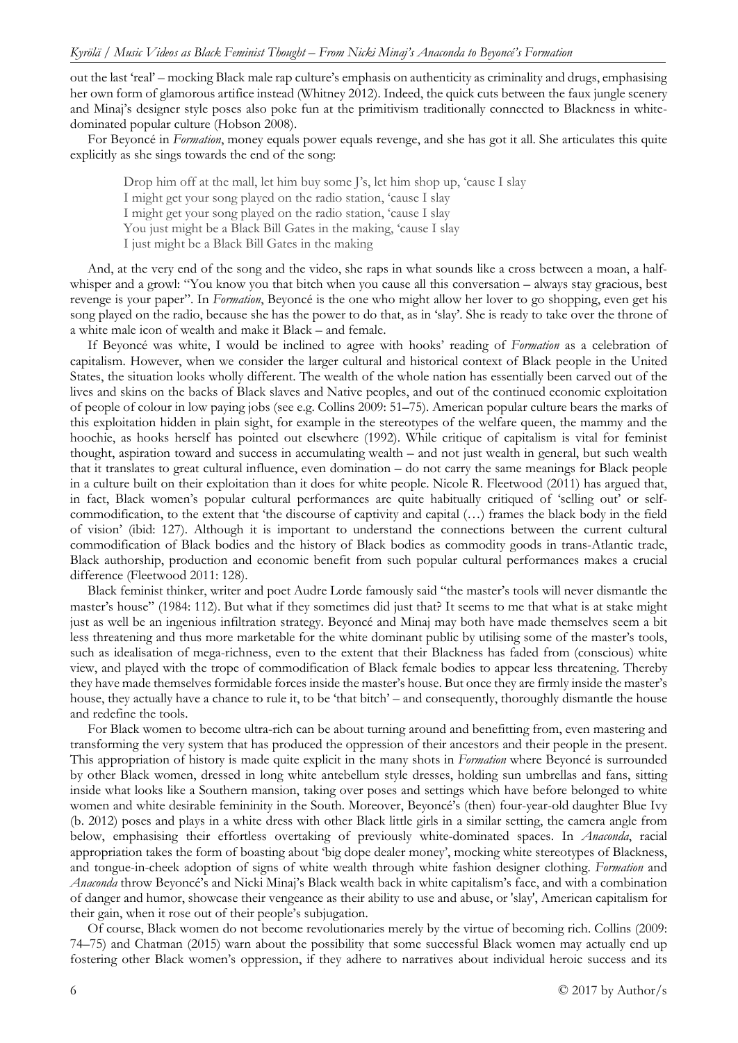out the last 'real' – mocking Black male rap culture's emphasis on authenticity as criminality and drugs, emphasising her own form of glamorous artifice instead (Whitney 2012). Indeed, the quick cuts between the faux jungle scenery and Minaj's designer style poses also poke fun at the primitivism traditionally connected to Blackness in whitedominated popular culture (Hobson 2008).

For Beyoncé in *Formation*, money equals power equals revenge, and she has got it all. She articulates this quite explicitly as she sings towards the end of the song:

Drop him off at the mall, let him buy some J's, let him shop up, 'cause I slay I might get your song played on the radio station, 'cause I slay I might get your song played on the radio station, 'cause I slay You just might be a Black Bill Gates in the making, 'cause I slay I just might be a Black Bill Gates in the making

And, at the very end of the song and the video, she raps in what sounds like a cross between a moan, a halfwhisper and a growl: "You know you that bitch when you cause all this conversation – always stay gracious, best revenge is your paper". In *Formation*, Beyoncé is the one who might allow her lover to go shopping, even get his song played on the radio, because she has the power to do that, as in 'slay'. She is ready to take over the throne of a white male icon of wealth and make it Black – and female.

If Beyoncé was white, I would be inclined to agree with hooks' reading of *Formation* as a celebration of capitalism. However, when we consider the larger cultural and historical context of Black people in the United States, the situation looks wholly different. The wealth of the whole nation has essentially been carved out of the lives and skins on the backs of Black slaves and Native peoples, and out of the continued economic exploitation of people of colour in low paying jobs (see e.g. Collins 2009: 51–75). American popular culture bears the marks of this exploitation hidden in plain sight, for example in the stereotypes of the welfare queen, the mammy and the hoochie, as hooks herself has pointed out elsewhere (1992). While critique of capitalism is vital for feminist thought, aspiration toward and success in accumulating wealth – and not just wealth in general, but such wealth that it translates to great cultural influence, even domination – do not carry the same meanings for Black people in a culture built on their exploitation than it does for white people. Nicole R. Fleetwood (2011) has argued that, in fact, Black women's popular cultural performances are quite habitually critiqued of 'selling out' or selfcommodification, to the extent that 'the discourse of captivity and capital (…) frames the black body in the field of vision' (ibid: 127). Although it is important to understand the connections between the current cultural commodification of Black bodies and the history of Black bodies as commodity goods in trans-Atlantic trade, Black authorship, production and economic benefit from such popular cultural performances makes a crucial difference (Fleetwood 2011: 128).

Black feminist thinker, writer and poet Audre Lorde famously said "the master's tools will never dismantle the master's house" (1984: 112). But what if they sometimes did just that? It seems to me that what is at stake might just as well be an ingenious infiltration strategy. Beyoncé and Minaj may both have made themselves seem a bit less threatening and thus more marketable for the white dominant public by utilising some of the master's tools, such as idealisation of mega-richness, even to the extent that their Blackness has faded from (conscious) white view, and played with the trope of commodification of Black female bodies to appear less threatening. Thereby they have made themselves formidable forces inside the master's house. But once they are firmly inside the master's house, they actually have a chance to rule it, to be 'that bitch' – and consequently, thoroughly dismantle the house and redefine the tools.

For Black women to become ultra-rich can be about turning around and benefitting from, even mastering and transforming the very system that has produced the oppression of their ancestors and their people in the present. This appropriation of history is made quite explicit in the many shots in *Formation* where Beyoncé is surrounded by other Black women, dressed in long white antebellum style dresses, holding sun umbrellas and fans, sitting inside what looks like a Southern mansion, taking over poses and settings which have before belonged to white women and white desirable femininity in the South. Moreover, Beyoncé's (then) four-year-old daughter Blue Ivy (b. 2012) poses and plays in a white dress with other Black little girls in a similar setting, the camera angle from below, emphasising their effortless overtaking of previously white-dominated spaces. In *Anaconda*, racial appropriation takes the form of boasting about 'big dope dealer money', mocking white stereotypes of Blackness, and tongue-in-cheek adoption of signs of white wealth through white fashion designer clothing. *Formation* and *Anaconda* throw Beyoncé's and Nicki Minaj's Black wealth back in white capitalism's face, and with a combination of danger and humor, showcase their vengeance as their ability to use and abuse, or 'slay', American capitalism for their gain, when it rose out of their people's subjugation.

Of course, Black women do not become revolutionaries merely by the virtue of becoming rich. Collins (2009: 74–75) and Chatman (2015) warn about the possibility that some successful Black women may actually end up fostering other Black women's oppression, if they adhere to narratives about individual heroic success and its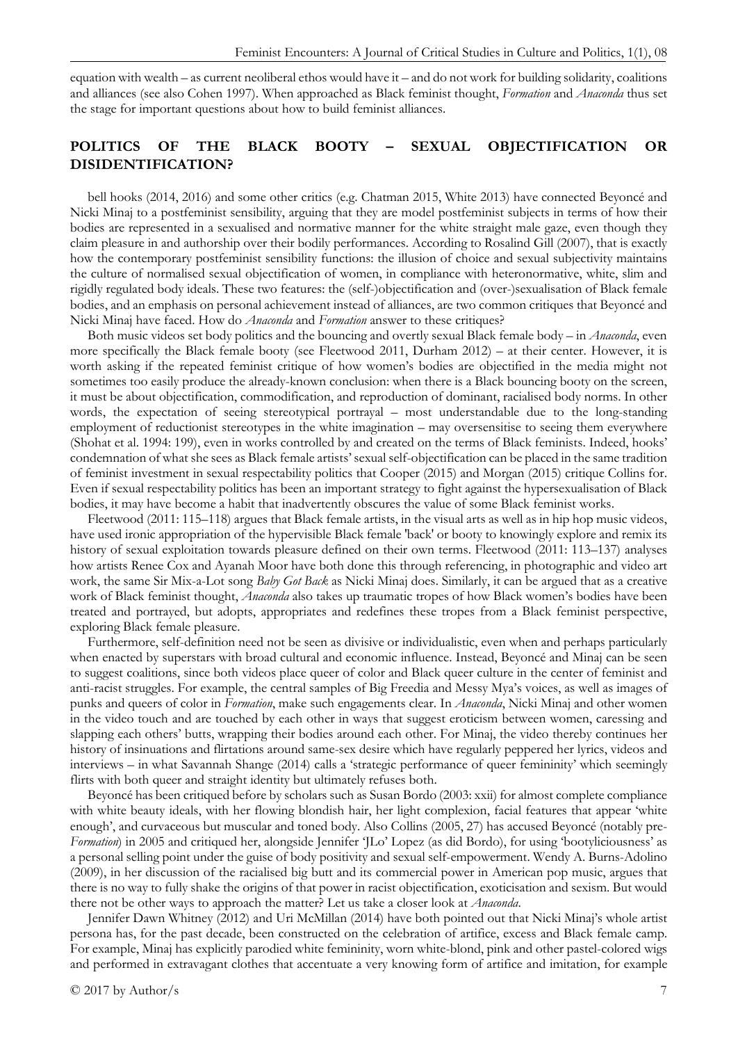equation with wealth – as current neoliberal ethos would have it – and do not work for building solidarity, coalitions and alliances (see also Cohen 1997). When approached as Black feminist thought, *Formation* and *Anaconda* thus set the stage for important questions about how to build feminist alliances.

## **POLITICS OF THE BLACK BOOTY – SEXUAL OBJECTIFICATION OR DISIDENTIFICATION?**

bell hooks (2014, 2016) and some other critics (e.g. Chatman 2015, White 2013) have connected Beyoncé and Nicki Minaj to a postfeminist sensibility, arguing that they are model postfeminist subjects in terms of how their bodies are represented in a sexualised and normative manner for the white straight male gaze, even though they claim pleasure in and authorship over their bodily performances. According to Rosalind Gill (2007), that is exactly how the contemporary postfeminist sensibility functions: the illusion of choice and sexual subjectivity maintains the culture of normalised sexual objectification of women, in compliance with heteronormative, white, slim and rigidly regulated body ideals. These two features: the (self-)objectification and (over-)sexualisation of Black female bodies, and an emphasis on personal achievement instead of alliances, are two common critiques that Beyoncé and Nicki Minaj have faced. How do *Anaconda* and *Formation* answer to these critiques?

Both music videos set body politics and the bouncing and overtly sexual Black female body – in *Anaconda*, even more specifically the Black female booty (see Fleetwood 2011, Durham 2012) – at their center. However, it is worth asking if the repeated feminist critique of how women's bodies are objectified in the media might not sometimes too easily produce the already-known conclusion: when there is a Black bouncing booty on the screen, it must be about objectification, commodification, and reproduction of dominant, racialised body norms. In other words, the expectation of seeing stereotypical portrayal – most understandable due to the long-standing employment of reductionist stereotypes in the white imagination – may oversensitise to seeing them everywhere (Shohat et al. 1994: 199), even in works controlled by and created on the terms of Black feminists. Indeed, hooks' condemnation of what she sees as Black female artists' sexual self-objectification can be placed in the same tradition of feminist investment in sexual respectability politics that Cooper (2015) and Morgan (2015) critique Collins for. Even if sexual respectability politics has been an important strategy to fight against the hypersexualisation of Black bodies, it may have become a habit that inadvertently obscures the value of some Black feminist works.

Fleetwood (2011: 115–118) argues that Black female artists, in the visual arts as well as in hip hop music videos, have used ironic appropriation of the hypervisible Black female 'back' or booty to knowingly explore and remix its history of sexual exploitation towards pleasure defined on their own terms. Fleetwood (2011: 113–137) analyses how artists Renee Cox and Ayanah Moor have both done this through referencing, in photographic and video art work, the same Sir Mix-a-Lot song *Baby Got Back* as Nicki Minaj does. Similarly, it can be argued that as a creative work of Black feminist thought, *Anaconda* also takes up traumatic tropes of how Black women's bodies have been treated and portrayed, but adopts, appropriates and redefines these tropes from a Black feminist perspective, exploring Black female pleasure.

Furthermore, self-definition need not be seen as divisive or individualistic, even when and perhaps particularly when enacted by superstars with broad cultural and economic influence. Instead, Beyoncé and Minaj can be seen to suggest coalitions, since both videos place queer of color and Black queer culture in the center of feminist and anti-racist struggles. For example, the central samples of Big Freedia and Messy Mya's voices, as well as images of punks and queers of color in *Formation*, make such engagements clear. In *Anaconda*, Nicki Minaj and other women in the video touch and are touched by each other in ways that suggest eroticism between women, caressing and slapping each others' butts, wrapping their bodies around each other. For Minaj, the video thereby continues her history of insinuations and flirtations around same-sex desire which have regularly peppered her lyrics, videos and interviews – in what Savannah Shange (2014) calls a 'strategic performance of queer femininity' which seemingly flirts with both queer and straight identity but ultimately refuses both.

Beyoncé has been critiqued before by scholars such as Susan Bordo (2003: xxii) for almost complete compliance with white beauty ideals, with her flowing blondish hair, her light complexion, facial features that appear 'white enough', and curvaceous but muscular and toned body. Also Collins (2005, 27) has accused Beyoncé (notably pre-*Formation*) in 2005 and critiqued her, alongside Jennifer 'JLo' Lopez (as did Bordo), for using 'bootyliciousness' as a personal selling point under the guise of body positivity and sexual self-empowerment. Wendy A. Burns-Adolino (2009), in her discussion of the racialised big butt and its commercial power in American pop music, argues that there is no way to fully shake the origins of that power in racist objectification, exoticisation and sexism. But would there not be other ways to approach the matter? Let us take a closer look at *Anaconda*.

Jennifer Dawn Whitney (2012) and Uri McMillan (2014) have both pointed out that Nicki Minaj's whole artist persona has, for the past decade, been constructed on the celebration of artifice, excess and Black female camp. For example, Minaj has explicitly parodied white femininity, worn white-blond, pink and other pastel-colored wigs and performed in extravagant clothes that accentuate a very knowing form of artifice and imitation, for example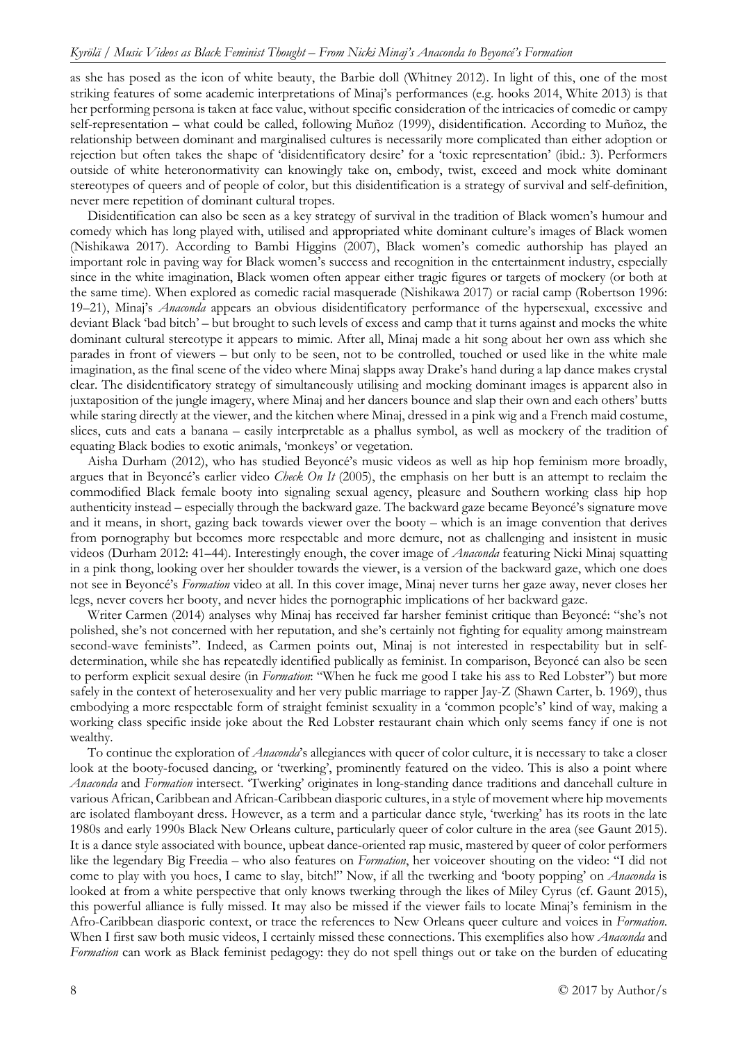as she has posed as the icon of white beauty, the Barbie doll (Whitney 2012). In light of this, one of the most striking features of some academic interpretations of Minaj's performances (e.g. hooks 2014, White 2013) is that her performing persona is taken at face value, without specific consideration of the intricacies of comedic or campy self-representation – what could be called, following Muñoz (1999), disidentification. According to Muñoz, the relationship between dominant and marginalised cultures is necessarily more complicated than either adoption or rejection but often takes the shape of 'disidentificatory desire' for a 'toxic representation' (ibid.: 3). Performers outside of white heteronormativity can knowingly take on, embody, twist, exceed and mock white dominant stereotypes of queers and of people of color, but this disidentification is a strategy of survival and self-definition, never mere repetition of dominant cultural tropes.

Disidentification can also be seen as a key strategy of survival in the tradition of Black women's humour and comedy which has long played with, utilised and appropriated white dominant culture's images of Black women (Nishikawa 2017). According to Bambi Higgins (2007), Black women's comedic authorship has played an important role in paving way for Black women's success and recognition in the entertainment industry, especially since in the white imagination, Black women often appear either tragic figures or targets of mockery (or both at the same time). When explored as comedic racial masquerade (Nishikawa 2017) or racial camp (Robertson 1996: 19–21), Minaj's *Anaconda* appears an obvious disidentificatory performance of the hypersexual, excessive and deviant Black 'bad bitch' – but brought to such levels of excess and camp that it turns against and mocks the white dominant cultural stereotype it appears to mimic. After all, Minaj made a hit song about her own ass which she parades in front of viewers – but only to be seen, not to be controlled, touched or used like in the white male imagination, as the final scene of the video where Minaj slapps away Drake's hand during a lap dance makes crystal clear. The disidentificatory strategy of simultaneously utilising and mocking dominant images is apparent also in juxtaposition of the jungle imagery, where Minaj and her dancers bounce and slap their own and each others' butts while staring directly at the viewer, and the kitchen where Minaj, dressed in a pink wig and a French maid costume, slices, cuts and eats a banana – easily interpretable as a phallus symbol, as well as mockery of the tradition of equating Black bodies to exotic animals, 'monkeys' or vegetation.

Aisha Durham (2012), who has studied Beyoncé's music videos as well as hip hop feminism more broadly, argues that in Beyoncé's earlier video *Check On It* (2005), the emphasis on her butt is an attempt to reclaim the commodified Black female booty into signaling sexual agency, pleasure and Southern working class hip hop authenticity instead – especially through the backward gaze. The backward gaze became Beyoncé's signature move and it means, in short, gazing back towards viewer over the booty – which is an image convention that derives from pornography but becomes more respectable and more demure, not as challenging and insistent in music videos (Durham 2012: 41–44). Interestingly enough, the cover image of *Anaconda* featuring Nicki Minaj squatting in a pink thong, looking over her shoulder towards the viewer, is a version of the backward gaze, which one does not see in Beyoncé's *Formation* video at all. In this cover image, Minaj never turns her gaze away, never closes her legs, never covers her booty, and never hides the pornographic implications of her backward gaze.

Writer Carmen (2014) analyses why Minaj has received far harsher feminist critique than Beyoncé: "she's not polished, she's not concerned with her reputation, and she's certainly not fighting for equality among mainstream second-wave feminists". Indeed, as Carmen points out, Minaj is not interested in respectability but in selfdetermination, while she has repeatedly identified publically as feminist. In comparison, Beyoncé can also be seen to perform explicit sexual desire (in *Formation*: "When he fuck me good I take his ass to Red Lobster") but more safely in the context of heterosexuality and her very public marriage to rapper Jay-Z (Shawn Carter, b. 1969), thus embodying a more respectable form of straight feminist sexuality in a 'common people's' kind of way, making a working class specific inside joke about the Red Lobster restaurant chain which only seems fancy if one is not wealthy.

To continue the exploration of *Anaconda*'s allegiances with queer of color culture, it is necessary to take a closer look at the booty-focused dancing, or 'twerking', prominently featured on the video. This is also a point where *Anaconda* and *Formation* intersect. 'Twerking' originates in long-standing dance traditions and dancehall culture in various African, Caribbean and African-Caribbean diasporic cultures, in a style of movement where hip movements are isolated flamboyant dress. However, as a term and a particular dance style, 'twerking' has its roots in the late 1980s and early 1990s Black New Orleans culture, particularly queer of color culture in the area (see Gaunt 2015). It is a dance style associated with bounce, upbeat dance-oriented rap music, mastered by queer of color performers like the legendary Big Freedia – who also features on *Formation*, her voiceover shouting on the video: "I did not come to play with you hoes, I came to slay, bitch!" Now, if all the twerking and 'booty popping' on *Anaconda* is looked at from a white perspective that only knows twerking through the likes of Miley Cyrus (cf. Gaunt 2015), this powerful alliance is fully missed. It may also be missed if the viewer fails to locate Minaj's feminism in the Afro-Caribbean diasporic context, or trace the references to New Orleans queer culture and voices in *Formation*. When I first saw both music videos, I certainly missed these connections. This exemplifies also how *Anaconda* and *Formation* can work as Black feminist pedagogy: they do not spell things out or take on the burden of educating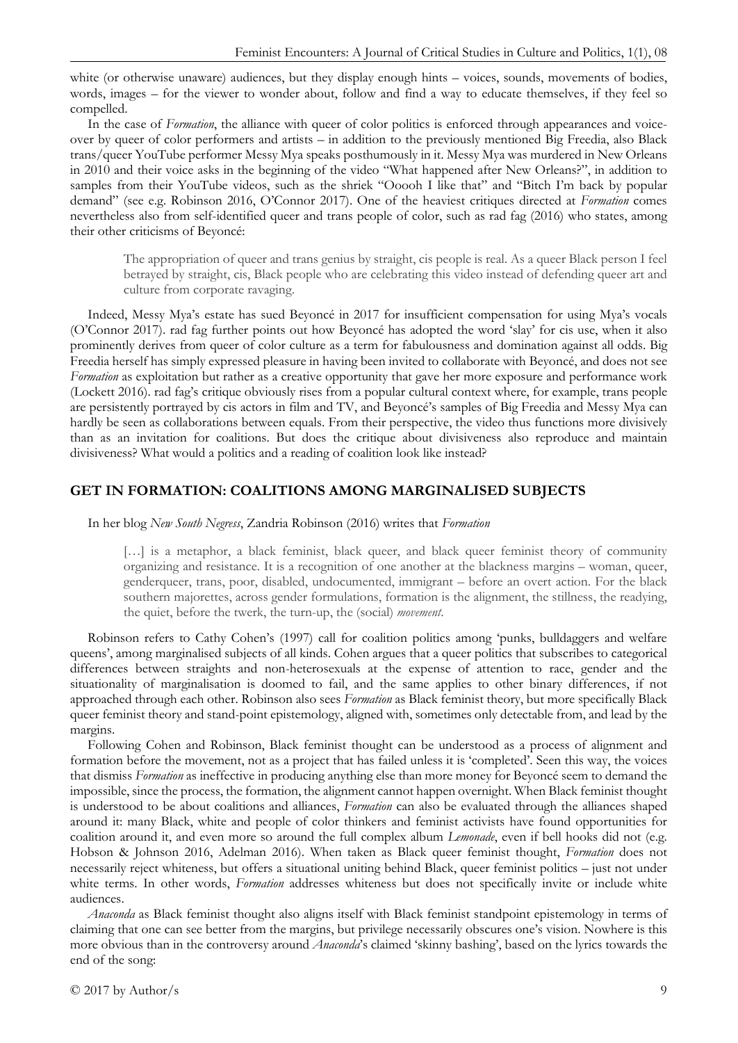white (or otherwise unaware) audiences, but they display enough hints – voices, sounds, movements of bodies, words, images – for the viewer to wonder about, follow and find a way to educate themselves, if they feel so compelled.

In the case of *Formation*, the alliance with queer of color politics is enforced through appearances and voiceover by queer of color performers and artists – in addition to the previously mentioned Big Freedia, also Black trans/queer YouTube performer Messy Mya speaks posthumously in it. Messy Mya was murdered in New Orleans in 2010 and their voice asks in the beginning of the video "What happened after New Orleans?", in addition to samples from their YouTube videos, such as the shriek "Ooooh I like that" and "Bitch I'm back by popular demand" (see e.g. Robinson 2016, O'Connor 2017). One of the heaviest critiques directed at *Formation* comes nevertheless also from self-identified queer and trans people of color, such as rad fag (2016) who states, among their other criticisms of Beyoncé:

The appropriation of queer and trans genius by straight, cis people is real. As a queer Black person I feel betrayed by straight, cis, Black people who are celebrating this video instead of defending queer art and culture from corporate ravaging.

Indeed, Messy Mya's estate has sued Beyoncé in 2017 for insufficient compensation for using Mya's vocals (O'Connor 2017). rad fag further points out how Beyoncé has adopted the word 'slay' for cis use, when it also prominently derives from queer of color culture as a term for fabulousness and domination against all odds. Big Freedia herself has simply expressed pleasure in having been invited to collaborate with Beyoncé, and does not see *Formation* as exploitation but rather as a creative opportunity that gave her more exposure and performance work (Lockett 2016). rad fag's critique obviously rises from a popular cultural context where, for example, trans people are persistently portrayed by cis actors in film and TV, and Beyoncé's samples of Big Freedia and Messy Mya can hardly be seen as collaborations between equals. From their perspective, the video thus functions more divisively than as an invitation for coalitions. But does the critique about divisiveness also reproduce and maintain divisiveness? What would a politics and a reading of coalition look like instead?

### **GET IN FORMATION: COALITIONS AMONG MARGINALISED SUBJECTS**

In her blog *New South Negress*, Zandria Robinson (2016) writes that *Formation*

[...] is a metaphor, a black feminist, black queer, and black queer feminist theory of community organizing and resistance. It is a recognition of one another at the blackness margins – woman, queer, genderqueer, trans, poor, disabled, undocumented, immigrant – before an overt action. For the black southern majorettes, across gender formulations, formation is the alignment, the stillness, the readying, the quiet, before the twerk, the turn-up, the (social) *movement*.

Robinson refers to Cathy Cohen's (1997) call for coalition politics among 'punks, bulldaggers and welfare queens', among marginalised subjects of all kinds. Cohen argues that a queer politics that subscribes to categorical differences between straights and non-heterosexuals at the expense of attention to race, gender and the situationality of marginalisation is doomed to fail, and the same applies to other binary differences, if not approached through each other. Robinson also sees *Formation* as Black feminist theory, but more specifically Black queer feminist theory and stand-point epistemology, aligned with, sometimes only detectable from, and lead by the margins.

Following Cohen and Robinson, Black feminist thought can be understood as a process of alignment and formation before the movement, not as a project that has failed unless it is 'completed'. Seen this way, the voices that dismiss *Formation* as ineffective in producing anything else than more money for Beyoncé seem to demand the impossible, since the process, the formation, the alignment cannot happen overnight. When Black feminist thought is understood to be about coalitions and alliances, *Formation* can also be evaluated through the alliances shaped around it: many Black, white and people of color thinkers and feminist activists have found opportunities for coalition around it, and even more so around the full complex album *Lemonade*, even if bell hooks did not (e.g. Hobson & Johnson 2016, Adelman 2016). When taken as Black queer feminist thought, *Formation* does not necessarily reject whiteness, but offers a situational uniting behind Black, queer feminist politics – just not under white terms. In other words, *Formation* addresses whiteness but does not specifically invite or include white audiences.

*Anaconda* as Black feminist thought also aligns itself with Black feminist standpoint epistemology in terms of claiming that one can see better from the margins, but privilege necessarily obscures one's vision. Nowhere is this more obvious than in the controversy around *Anaconda*'s claimed 'skinny bashing', based on the lyrics towards the end of the song: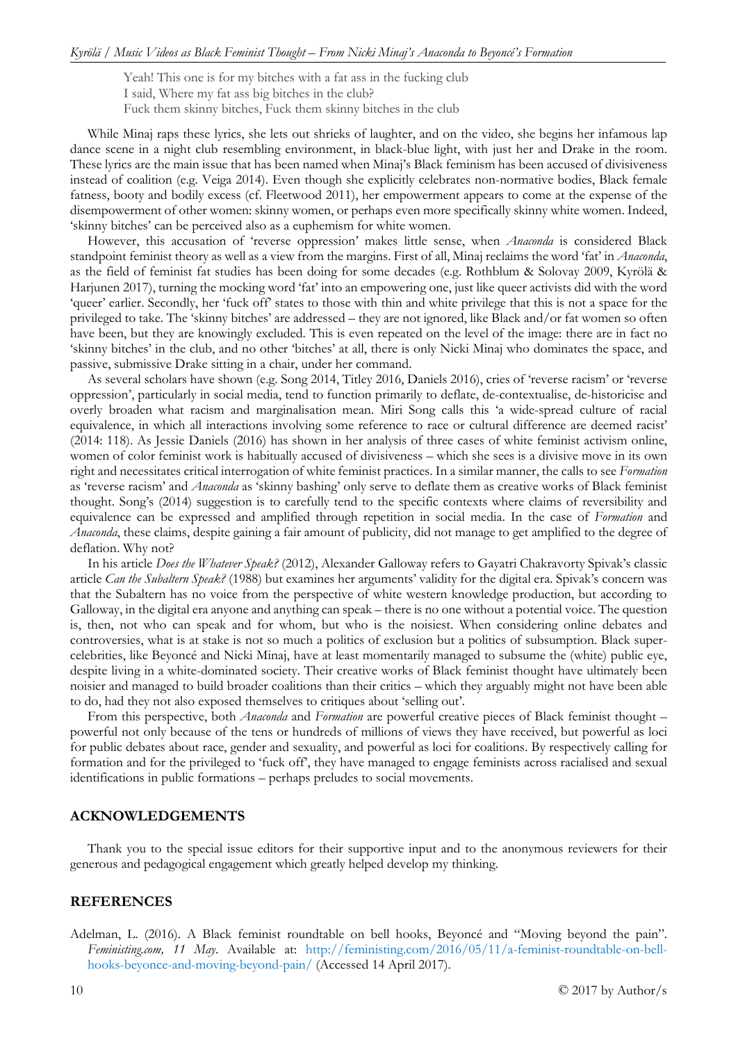Yeah! This one is for my bitches with a fat ass in the fucking club I said, Where my fat ass big bitches in the club? Fuck them skinny bitches, Fuck them skinny bitches in the club

While Minaj raps these lyrics, she lets out shrieks of laughter, and on the video, she begins her infamous lap dance scene in a night club resembling environment, in black-blue light, with just her and Drake in the room. These lyrics are the main issue that has been named when Minaj's Black feminism has been accused of divisiveness instead of coalition (e.g. Veiga 2014). Even though she explicitly celebrates non-normative bodies, Black female fatness, booty and bodily excess (cf. Fleetwood 2011), her empowerment appears to come at the expense of the disempowerment of other women: skinny women, or perhaps even more specifically skinny white women. Indeed, 'skinny bitches' can be perceived also as a euphemism for white women.

However, this accusation of 'reverse oppression' makes little sense, when *Anaconda* is considered Black standpoint feminist theory as well as a view from the margins. First of all, Minaj reclaims the word 'fat' in *Anaconda*, as the field of feminist fat studies has been doing for some decades (e.g. Rothblum & Solovay 2009, Kyrölä & Harjunen 2017), turning the mocking word 'fat' into an empowering one, just like queer activists did with the word 'queer' earlier. Secondly, her 'fuck off' states to those with thin and white privilege that this is not a space for the privileged to take. The 'skinny bitches' are addressed – they are not ignored, like Black and/or fat women so often have been, but they are knowingly excluded. This is even repeated on the level of the image: there are in fact no 'skinny bitches' in the club, and no other 'bitches' at all, there is only Nicki Minaj who dominates the space, and passive, submissive Drake sitting in a chair, under her command.

As several scholars have shown (e.g. Song 2014, Titley 2016, Daniels 2016), cries of 'reverse racism' or 'reverse oppression', particularly in social media, tend to function primarily to deflate, de-contextualise, de-historicise and overly broaden what racism and marginalisation mean. Miri Song calls this 'a wide-spread culture of racial equivalence, in which all interactions involving some reference to race or cultural difference are deemed racist' (2014: 118). As Jessie Daniels (2016) has shown in her analysis of three cases of white feminist activism online, women of color feminist work is habitually accused of divisiveness – which she sees is a divisive move in its own right and necessitates critical interrogation of white feminist practices. In a similar manner, the calls to see *Formation* as 'reverse racism' and *Anaconda* as 'skinny bashing' only serve to deflate them as creative works of Black feminist thought. Song's (2014) suggestion is to carefully tend to the specific contexts where claims of reversibility and equivalence can be expressed and amplified through repetition in social media. In the case of *Formation* and *Anaconda*, these claims, despite gaining a fair amount of publicity, did not manage to get amplified to the degree of deflation. Why not?

In his article *Does the Whatever Speak?* (2012), Alexander Galloway refers to Gayatri Chakravorty Spivak's classic article *Can the Subaltern Speak?* (1988) but examines her arguments' validity for the digital era. Spivak's concern was that the Subaltern has no voice from the perspective of white western knowledge production, but according to Galloway, in the digital era anyone and anything can speak – there is no one without a potential voice. The question is, then, not who can speak and for whom, but who is the noisiest. When considering online debates and controversies, what is at stake is not so much a politics of exclusion but a politics of subsumption. Black supercelebrities, like Beyoncé and Nicki Minaj, have at least momentarily managed to subsume the (white) public eye, despite living in a white-dominated society. Their creative works of Black feminist thought have ultimately been noisier and managed to build broader coalitions than their critics – which they arguably might not have been able to do, had they not also exposed themselves to critiques about 'selling out'.

From this perspective, both *Anaconda* and *Formation* are powerful creative pieces of Black feminist thought – powerful not only because of the tens or hundreds of millions of views they have received, but powerful as loci for public debates about race, gender and sexuality, and powerful as loci for coalitions. By respectively calling for formation and for the privileged to 'fuck off', they have managed to engage feminists across racialised and sexual identifications in public formations – perhaps preludes to social movements.

#### **ACKNOWLEDGEMENTS**

Thank you to the special issue editors for their supportive input and to the anonymous reviewers for their generous and pedagogical engagement which greatly helped develop my thinking.

#### **REFERENCES**

Adelman, L. (2016). A Black feminist roundtable on bell hooks, Beyoncé and "Moving beyond the pain". *Feministing.com, 11 May*. Available at: [http://feministing.com/2016/05/11/a-feminist-roundtable-on-bell](http://feministing.com/2016/05/11/a-feminist-roundtable-on-bell-hooks-beyonce-and-moving-beyond-pain/)[hooks-beyonce-and-moving-beyond-pain/](http://feministing.com/2016/05/11/a-feminist-roundtable-on-bell-hooks-beyonce-and-moving-beyond-pain/) (Accessed 14 April 2017).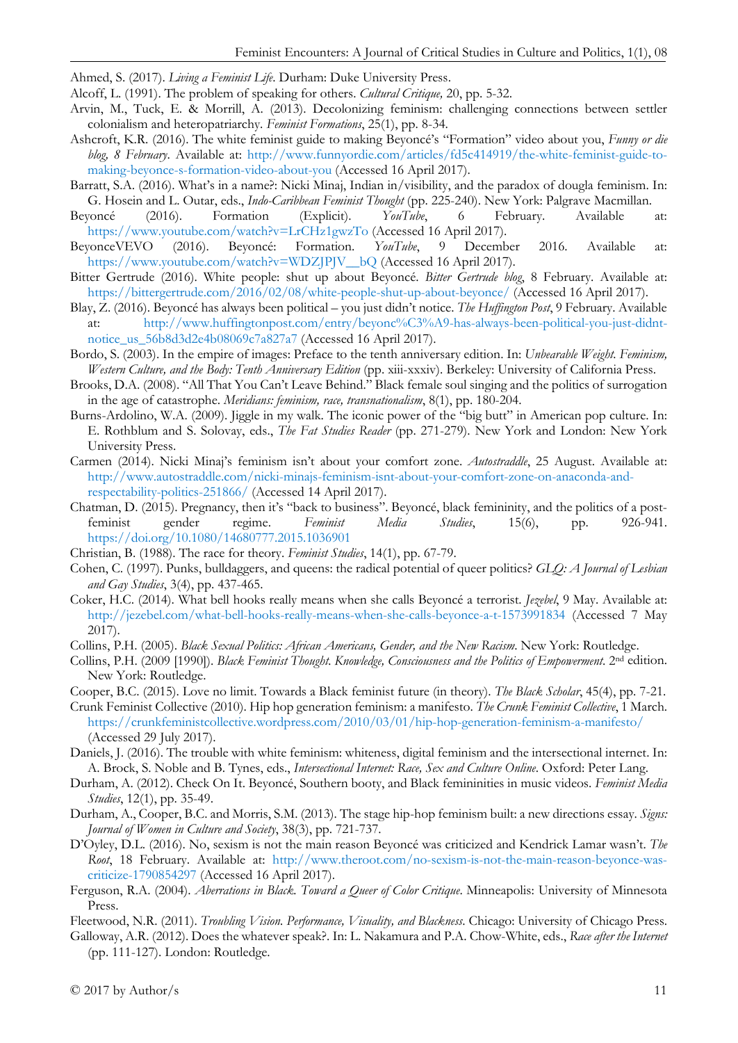Ahmed, S. (2017). *Living a Feminist Life*. Durham: Duke University Press.

- Alcoff, L. (1991). The problem of speaking for others. *Cultural Critique,* 20, pp. 5-32.
- Arvin, M., Tuck, E. & Morrill, A. (2013). Decolonizing feminism: challenging connections between settler colonialism and heteropatriarchy. *Feminist Formations*, 25(1), pp. 8-34.
- Ashcroft, K.R. (2016). The white feminist guide to making Beyoncé's "Formation" video about you, *Funny or die blog, 8 February*. Available at: [http://www.funnyordie.com/articles/fd5c414919/the-white-feminist-guide-to](http://www.funnyordie.com/articles/fd5c414919/the-white-feminist-guide-to-making-beyonce-s-formation-video-about-you)[making-beyonce-s-formation-video-about-you](http://www.funnyordie.com/articles/fd5c414919/the-white-feminist-guide-to-making-beyonce-s-formation-video-about-you) (Accessed 16 April 2017).
- Barratt, S.A. (2016). What's in a name?: Nicki Minaj, Indian in/visibility, and the paradox of dougla feminism. In: G. Hosein and L. Outar, eds., *Indo-Caribbean Feminist Thought* (pp. 225-240). New York: Palgrave Macmillan.
- Beyoncé (2016). Formation (Explicit). *YouTube*, 6 February. Available at: <https://www.youtube.com/watch?v=LrCHz1gwzTo> (Accessed 16 April 2017).
- BeyonceVEVO (2016). Beyoncé: Formation. *YouTube*, 9 December 2016. Available at: [https://www.youtube.com/watch?v=WDZJPJV\\_\\_bQ](https://www.youtube.com/watch?v=WDZJPJV__bQ) (Accessed 16 April 2017).
- Bitter Gertrude (2016). White people: shut up about Beyoncé. *Bitter Gertrude blog*, 8 February. Available at: <https://bittergertrude.com/2016/02/08/white-people-shut-up-about-beyonce/> (Accessed 16 April 2017).
- Blay, Z. (2016). Beyoncé has always been political you just didn't notice. *The Huffington Post*, 9 February. Available at: [http://www.huffingtonpost.com/entry/beyonc%C3%A9-has-always-been-political-you-just-didnt](http://www.huffingtonpost.com/entry/beyonc%C3%A9-has-always-been-political-you-just-didnt-notice_us_56b8d3d2e4b08069c7a827a7)[notice\\_us\\_56b8d3d2e4b08069c7a827a7](http://www.huffingtonpost.com/entry/beyonc%C3%A9-has-always-been-political-you-just-didnt-notice_us_56b8d3d2e4b08069c7a827a7) (Accessed 16 April 2017).
- Bordo, S. (2003). In the empire of images: Preface to the tenth anniversary edition. In: *Unbearable Weight. Feminism, Western Culture, and the Body: Tenth Anniversary Edition* (pp. xiii-xxxiv). Berkeley: University of California Press.
- Brooks, D.A. (2008). "All That You Can't Leave Behind." Black female soul singing and the politics of surrogation in the age of catastrophe. *Meridians: feminism, race, transnationalism*, 8(1), pp. 180-204.
- Burns-Ardolino, W.A. (2009). Jiggle in my walk. The iconic power of the "big butt" in American pop culture. In: E. Rothblum and S. Solovay, eds., *The Fat Studies Reader* (pp. 271-279). New York and London: New York University Press.
- Carmen (2014). Nicki Minaj's feminism isn't about your comfort zone. *Autostraddle*, 25 August. Available at: [http://www.autostraddle.com/nicki-minajs-feminism-isnt-about-your-comfort-zone-on-anaconda-and](http://www.autostraddle.com/nicki-minajs-feminism-isnt-about-your-comfort-zone-on-anaconda-and-respectability-politics-251866/)[respectability-politics-251866/](http://www.autostraddle.com/nicki-minajs-feminism-isnt-about-your-comfort-zone-on-anaconda-and-respectability-politics-251866/) (Accessed 14 April 2017).
- Chatman, D. (2015). Pregnancy, then it's "back to business". Beyoncé, black femininity, and the politics of a postfeminist gender regime. *Feminist Media Studies*, 15(6), pp. 926-941. <https://doi.org/10.1080/14680777.2015.1036901>
- Christian, B. (1988). The race for theory. *Feminist Studies*, 14(1), pp. 67-79.
- Cohen, C. (1997). Punks, bulldaggers, and queens: the radical potential of queer politics? *GLQ: A Journal of Lesbian and Gay Studies*, 3(4), pp. 437-465.
- Coker, H.C. (2014). What bell hooks really means when she calls Beyoncé a terrorist. *Jezebel*, 9 May. Available at: <http://jezebel.com/what-bell-hooks-really-means-when-she-calls-beyonce-a-t-1573991834> (Accessed 7 May 2017).
- Collins, P.H. (2005). *Black Sexual Politics: African Americans, Gender, and the New Racism*. New York: Routledge.
- Collins, P.H. (2009 [1990]). *Black Feminist Thought. Knowledge, Consciousness and the Politics of Empowerment*. 2nd edition. New York: Routledge.
- Cooper, B.C. (2015). Love no limit. Towards a Black feminist future (in theory). *The Black Scholar*, 45(4), pp. 7-21.
- Crunk Feminist Collective (2010). Hip hop generation feminism: a manifesto. *The Crunk Feminist Collective*, 1 March. <https://crunkfeministcollective.wordpress.com/2010/03/01/hip-hop-generation-feminism-a-manifesto/> (Accessed 29 July 2017).
- Daniels, J. (2016). The trouble with white feminism: whiteness, digital feminism and the intersectional internet. In: A. Brock, S. Noble and B. Tynes, eds., *Intersectional Internet: Race, Sex and Culture Online*. Oxford: Peter Lang.
- Durham, A. (2012). Check On It. Beyoncé, Southern booty, and Black femininities in music videos. *Feminist Media Studies*, 12(1), pp. 35-49.
- Durham, A., Cooper, B.C. and Morris, S.M. (2013). The stage hip-hop feminism built: a new directions essay. *Signs: Journal of Women in Culture and Society*, 38(3), pp. 721-737.
- D'Oyley, D.L. (2016). No, sexism is not the main reason Beyoncé was criticized and Kendrick Lamar wasn't. *The Root*, 18 February. Available at: [http://www.theroot.com/no-sexism-is-not-the-main-reason-beyonce-was](http://www.theroot.com/no-sexism-is-not-the-main-reason-beyonce-was-criticize-1790854297)[criticize-1790854297](http://www.theroot.com/no-sexism-is-not-the-main-reason-beyonce-was-criticize-1790854297) (Accessed 16 April 2017).
- Ferguson, R.A. (2004). *Aberrations in Black. Toward a Queer of Color Critique*. Minneapolis: University of Minnesota Press.
- Fleetwood, N.R. (2011). *Troubling Vision. Performance, Visuality, and Blackness*. Chicago: University of Chicago Press.
- Galloway, A.R. (2012). Does the whatever speak?. In: L. Nakamura and P.A. Chow-White, eds., *Race after the Internet* (pp. 111-127). London: Routledge.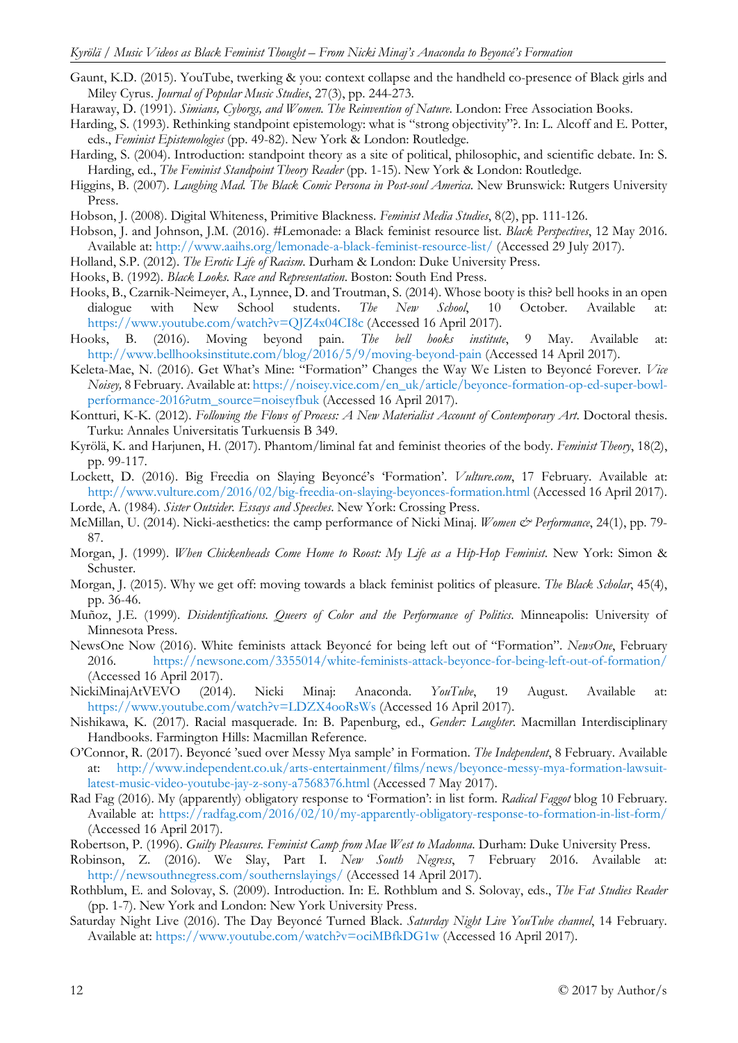- Gaunt, K.D. (2015). YouTube, twerking & you: context collapse and the handheld co-presence of Black girls and Miley Cyrus. *Journal of Popular Music Studies*, 27(3), pp. 244-273.
- Haraway, D. (1991). *Simians, Cyborgs, and Women. The Reinvention of Nature*. London: Free Association Books.
- Harding, S. (1993). Rethinking standpoint epistemology: what is "strong objectivity"?. In: L. Alcoff and E. Potter, eds., *Feminist Epistemologies* (pp. 49-82). New York & London: Routledge.
- Harding, S. (2004). Introduction: standpoint theory as a site of political, philosophic, and scientific debate. In: S. Harding, ed., *The Feminist Standpoint Theory Reader* (pp. 1-15). New York & London: Routledge.
- Higgins, B. (2007). *Laughing Mad. The Black Comic Persona in Post-soul America*. New Brunswick: Rutgers University Press.
- Hobson, J. (2008). Digital Whiteness, Primitive Blackness. *Feminist Media Studies*, 8(2), pp. 111-126.
- Hobson, J. and Johnson, J.M. (2016). #Lemonade: a Black feminist resource list. *Black Perspectives*, 12 May 2016. Available at:<http://www.aaihs.org/lemonade-a-black-feminist-resource-list/> (Accessed 29 July 2017).
- Holland, S.P. (2012). *The Erotic Life of Racism*. Durham & London: Duke University Press.
- Hooks, B. (1992). *Black Looks. Race and Representation*. Boston: South End Press.
- Hooks, B., Czarnik-Neimeyer, A., Lynnee, D. and Troutman, S. (2014). Whose booty is this? bell hooks in an open dialogue with New School students. *The New School*, 10 October. Available at: <https://www.youtube.com/watch?v=QJZ4x04CI8c> (Accessed 16 April 2017).
- Hooks, B. (2016). Moving beyond pain. *The bell hooks institute*, 9 May. Available at: <http://www.bellhooksinstitute.com/blog/2016/5/9/moving-beyond-pain> (Accessed 14 April 2017).
- Keleta-Mae, N. (2016). Get What's Mine: "Formation" Changes the Way We Listen to Beyoncé Forever. *Vice Noisey,* 8 February. Available at: [https://noisey.vice.com/en\\_uk/article/beyonce-formation-op-ed-super-bowl](https://noisey.vice.com/en_uk/article/beyonce-formation-op-ed-super-bowl-performance-2016?utm_source=noiseyfbuk)[performance-2016?utm\\_source=noiseyfbuk](https://noisey.vice.com/en_uk/article/beyonce-formation-op-ed-super-bowl-performance-2016?utm_source=noiseyfbuk) (Accessed 16 April 2017).
- Kontturi, K-K. (2012). *Following the Flows of Process: A New Materialist Account of Contemporary Art*. Doctoral thesis. Turku: Annales Universitatis Turkuensis B 349.
- Kyrölä, K. and Harjunen, H. (2017). Phantom/liminal fat and feminist theories of the body. *Feminist Theory*, 18(2), pp. 99-117.
- Lockett, D. (2016). Big Freedia on Slaying Beyoncé's 'Formation'. *Vulture.com*, 17 February. Available at: <http://www.vulture.com/2016/02/big-freedia-on-slaying-beyonces-formation.html> (Accessed 16 April 2017).
- Lorde, A. (1984). *Sister Outsider. Essays and Speeches*. New York: Crossing Press.
- McMillan, U. (2014). Nicki-aesthetics: the camp performance of Nicki Minaj. *Women & Performance*, 24(1), pp. 79-87.
- Morgan, J. (1999). *When Chickenheads Come Home to Roost: My Life as a Hip-Hop Feminist*. New York: Simon & Schuster.
- Morgan, J. (2015). Why we get off: moving towards a black feminist politics of pleasure. *The Black Scholar*, 45(4), pp. 36-46.
- Muñoz, J.E. (1999). *Disidentifications. Queers of Color and the Performance of Politics*. Minneapolis: University of Minnesota Press.
- NewsOne Now (2016). White feminists attack Beyoncé for being left out of "Formation". *NewsOne*, February 2016. <https://newsone.com/3355014/white-feminists-attack-beyonce-for-being-left-out-of-formation/> (Accessed 16 April 2017).
- NickiMinajAtVEVO (2014). Nicki Minaj: Anaconda. *YouTube*, 19 August. Available at: <https://www.youtube.com/watch?v=LDZX4ooRsWs> (Accessed 16 April 2017).
- Nishikawa, K. (2017). Racial masquerade. In: B. Papenburg, ed., *Gender: Laughter*. Macmillan Interdisciplinary Handbooks. Farmington Hills: Macmillan Reference.
- O'Connor, R. (2017). Beyoncé 'sued over Messy Mya sample' in Formation. *The Independent*, 8 February. Available at: [http://www.independent.co.uk/arts-entertainment/films/news/beyonce-messy-mya-formation-lawsuit](http://www.independent.co.uk/arts-entertainment/films/news/beyonce-messy-mya-formation-lawsuit-latest-music-video-youtube-jay-z-sony-a7568376.html)[latest-music-video-youtube-jay-z-sony-a7568376.html](http://www.independent.co.uk/arts-entertainment/films/news/beyonce-messy-mya-formation-lawsuit-latest-music-video-youtube-jay-z-sony-a7568376.html) (Accessed 7 May 2017).
- Rad Fag (2016). My (apparently) obligatory response to 'Formation': in list form. *Radical Faggot* blog 10 February. Available at:<https://radfag.com/2016/02/10/my-apparently-obligatory-response-to-formation-in-list-form/> (Accessed 16 April 2017).
- Robertson, P. (1996). *Guilty Pleasures. Feminist Camp from Mae West to Madonna*. Durham: Duke University Press.
- Robinson, Z. (2016). We Slay, Part I. *New South Negress*, 7 February 2016. Available at: <http://newsouthnegress.com/southernslayings/> (Accessed 14 April 2017).
- Rothblum, E. and Solovay, S. (2009). Introduction. In: E. Rothblum and S. Solovay, eds., *The Fat Studies Reader* (pp. 1-7). New York and London: New York University Press.
- Saturday Night Live (2016). The Day Beyoncé Turned Black. *Saturday Night Live YouTube channel*, 14 February. Available at:<https://www.youtube.com/watch?v=ociMBfkDG1w> (Accessed 16 April 2017).